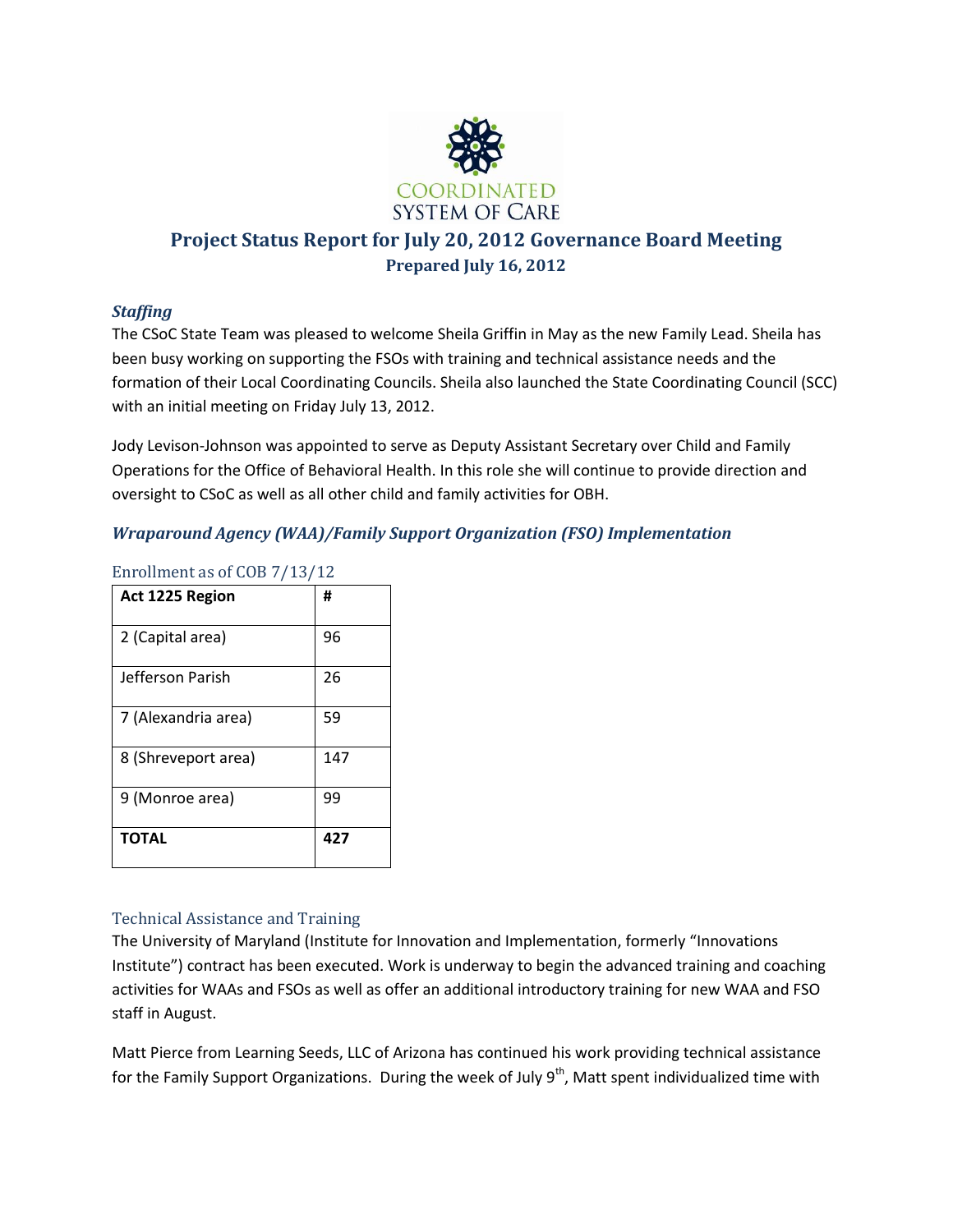

# **Project Status Report for July 20, 2012 Governance Board Meeting Prepared July 16, 2012**

# *Staffing*

The CSoC State Team was pleased to welcome Sheila Griffin in May as the new Family Lead. Sheila has been busy working on supporting the FSOs with training and technical assistance needs and the formation of their Local Coordinating Councils. Sheila also launched the State Coordinating Council (SCC) with an initial meeting on Friday July 13, 2012.

Jody Levison-Johnson was appointed to serve as Deputy Assistant Secretary over Child and Family Operations for the Office of Behavioral Health. In this role she will continue to provide direction and oversight to CSoC as well as all other child and family activities for OBH.

# *Wraparound Agency (WAA)/Family Support Organization (FSO) Implementation*

| Act 1225 Region     | #   |
|---------------------|-----|
| 2 (Capital area)    | 96  |
| Jefferson Parish    | 26  |
| 7 (Alexandria area) | 59  |
| 8 (Shreveport area) | 147 |
| 9 (Monroe area)     | 99  |
| <b>TOTAL</b>        | 427 |

### Enrollment as of COB 7/13/12

### Technical Assistance and Training

The University of Maryland (Institute for Innovation and Implementation, formerly "Innovations Institute") contract has been executed. Work is underway to begin the advanced training and coaching activities for WAAs and FSOs as well as offer an additional introductory training for new WAA and FSO staff in August.

Matt Pierce from Learning Seeds, LLC of Arizona has continued his work providing technical assistance for the Family Support Organizations. During the week of July 9<sup>th</sup>, Matt spent individualized time with